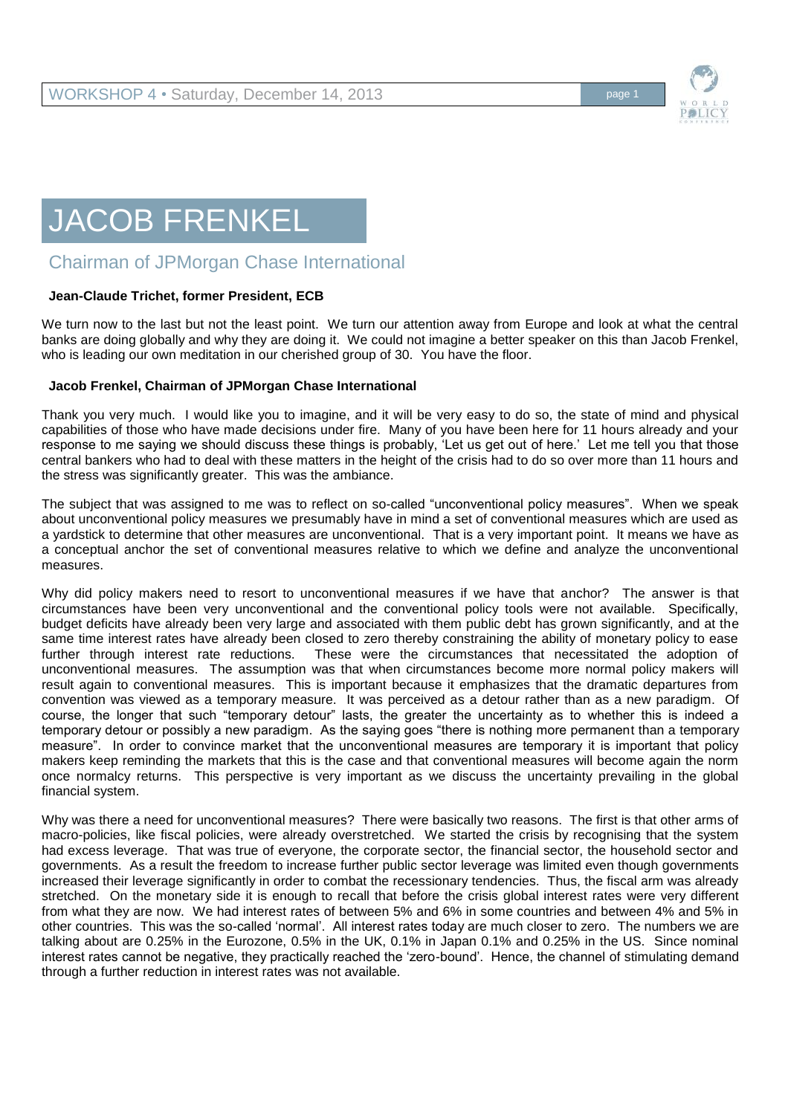

## JACOB FRENKEL

## Chairman of JPMorgan Chase International

## **Jean-Claude Trichet, former President, ECB**

We turn now to the last but not the least point. We turn our attention away from Europe and look at what the central banks are doing globally and why they are doing it. We could not imagine a better speaker on this than Jacob Frenkel, who is leading our own meditation in our cherished group of 30. You have the floor.

## **Jacob Frenkel, Chairman of JPMorgan Chase International**

Thank you very much. I would like you to imagine, and it will be very easy to do so, the state of mind and physical capabilities of those who have made decisions under fire. Many of you have been here for 11 hours already and your response to me saying we should discuss these things is probably, 'Let us get out of here.' Let me tell you that those central bankers who had to deal with these matters in the height of the crisis had to do so over more than 11 hours and the stress was significantly greater. This was the ambiance.

The subject that was assigned to me was to reflect on so-called "unconventional policy measures". When we speak about unconventional policy measures we presumably have in mind a set of conventional measures which are used as a yardstick to determine that other measures are unconventional. That is a very important point. It means we have as a conceptual anchor the set of conventional measures relative to which we define and analyze the unconventional measures.

Why did policy makers need to resort to unconventional measures if we have that anchor? The answer is that circumstances have been very unconventional and the conventional policy tools were not available. Specifically, budget deficits have already been very large and associated with them public debt has grown significantly, and at the same time interest rates have already been closed to zero thereby constraining the ability of monetary policy to ease further through interest rate reductions. These were the circumstances that necessitated the adoption of unconventional measures. The assumption was that when circumstances become more normal policy makers will result again to conventional measures. This is important because it emphasizes that the dramatic departures from convention was viewed as a temporary measure. It was perceived as a detour rather than as a new paradigm. Of course, the longer that such "temporary detour" lasts, the greater the uncertainty as to whether this is indeed a temporary detour or possibly a new paradigm. As the saying goes "there is nothing more permanent than a temporary measure". In order to convince market that the unconventional measures are temporary it is important that policy makers keep reminding the markets that this is the case and that conventional measures will become again the norm once normalcy returns. This perspective is very important as we discuss the uncertainty prevailing in the global financial system.

Why was there a need for unconventional measures? There were basically two reasons. The first is that other arms of macro-policies, like fiscal policies, were already overstretched. We started the crisis by recognising that the system had excess leverage. That was true of everyone, the corporate sector, the financial sector, the household sector and governments. As a result the freedom to increase further public sector leverage was limited even though governments increased their leverage significantly in order to combat the recessionary tendencies. Thus, the fiscal arm was already stretched. On the monetary side it is enough to recall that before the crisis global interest rates were very different from what they are now. We had interest rates of between 5% and 6% in some countries and between 4% and 5% in other countries. This was the so-called 'normal'. All interest rates today are much closer to zero. The numbers we are talking about are 0.25% in the Eurozone, 0.5% in the UK, 0.1% in Japan 0.1% and 0.25% in the US. Since nominal interest rates cannot be negative, they practically reached the 'zero-bound'. Hence, the channel of stimulating demand through a further reduction in interest rates was not available.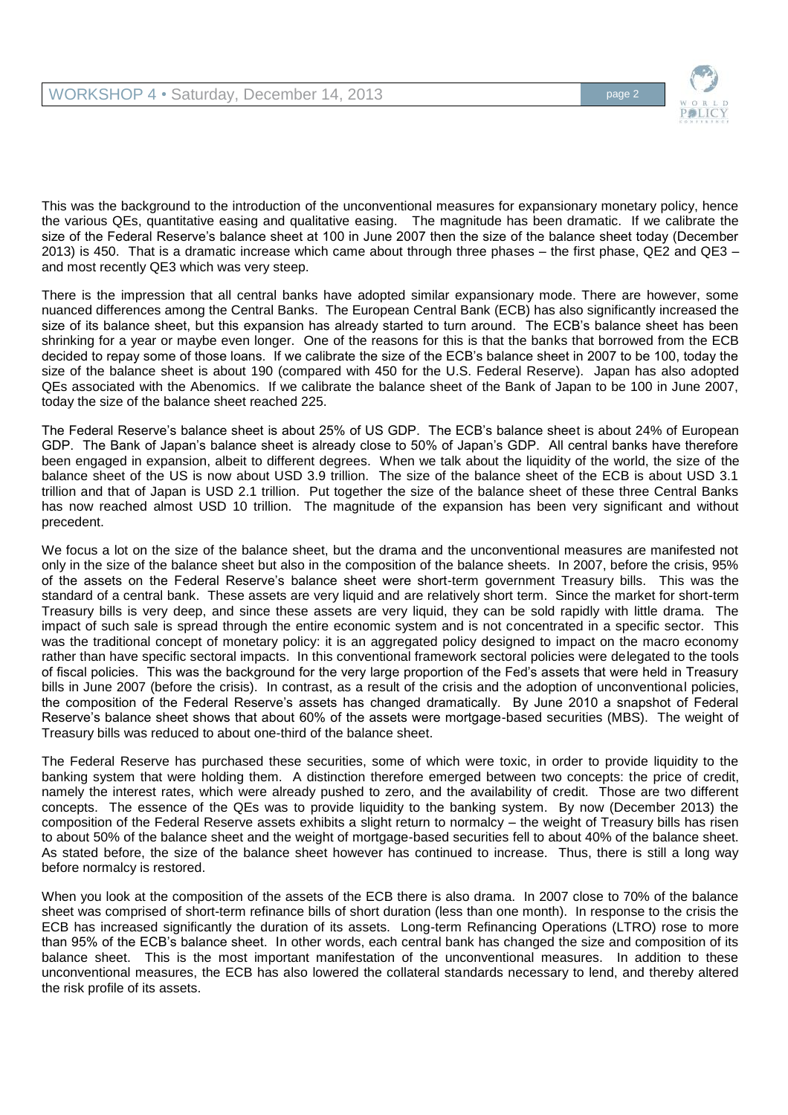

This was the background to the introduction of the unconventional measures for expansionary monetary policy, hence the various QEs, quantitative easing and qualitative easing. The magnitude has been dramatic. If we calibrate the size of the Federal Reserve's balance sheet at 100 in June 2007 then the size of the balance sheet today (December 2013) is 450. That is a dramatic increase which came about through three phases – the first phase, QE2 and QE3 – and most recently QE3 which was very steep.

There is the impression that all central banks have adopted similar expansionary mode. There are however, some nuanced differences among the Central Banks. The European Central Bank (ECB) has also significantly increased the size of its balance sheet, but this expansion has already started to turn around. The ECB's balance sheet has been shrinking for a year or maybe even longer. One of the reasons for this is that the banks that borrowed from the ECB decided to repay some of those loans. If we calibrate the size of the ECB's balance sheet in 2007 to be 100, today the size of the balance sheet is about 190 (compared with 450 for the U.S. Federal Reserve). Japan has also adopted QEs associated with the Abenomics. If we calibrate the balance sheet of the Bank of Japan to be 100 in June 2007, today the size of the balance sheet reached 225.

The Federal Reserve's balance sheet is about 25% of US GDP. The ECB's balance sheet is about 24% of European GDP. The Bank of Japan's balance sheet is already close to 50% of Japan's GDP. All central banks have therefore been engaged in expansion, albeit to different degrees. When we talk about the liquidity of the world, the size of the balance sheet of the US is now about USD 3.9 trillion. The size of the balance sheet of the ECB is about USD 3.1 trillion and that of Japan is USD 2.1 trillion. Put together the size of the balance sheet of these three Central Banks has now reached almost USD 10 trillion. The magnitude of the expansion has been very significant and without precedent.

We focus a lot on the size of the balance sheet, but the drama and the unconventional measures are manifested not only in the size of the balance sheet but also in the composition of the balance sheets. In 2007, before the crisis, 95% of the assets on the Federal Reserve's balance sheet were short-term government Treasury bills. This was the standard of a central bank. These assets are very liquid and are relatively short term. Since the market for short-term Treasury bills is very deep, and since these assets are very liquid, they can be sold rapidly with little drama. The impact of such sale is spread through the entire economic system and is not concentrated in a specific sector. This was the traditional concept of monetary policy: it is an aggregated policy designed to impact on the macro economy rather than have specific sectoral impacts. In this conventional framework sectoral policies were delegated to the tools of fiscal policies. This was the background for the very large proportion of the Fed's assets that were held in Treasury bills in June 2007 (before the crisis). In contrast, as a result of the crisis and the adoption of unconventional policies, the composition of the Federal Reserve's assets has changed dramatically. By June 2010 a snapshot of Federal Reserve's balance sheet shows that about 60% of the assets were mortgage-based securities (MBS). The weight of Treasury bills was reduced to about one-third of the balance sheet.

The Federal Reserve has purchased these securities, some of which were toxic, in order to provide liquidity to the banking system that were holding them. A distinction therefore emerged between two concepts: the price of credit, namely the interest rates, which were already pushed to zero, and the availability of credit. Those are two different concepts. The essence of the QEs was to provide liquidity to the banking system. By now (December 2013) the composition of the Federal Reserve assets exhibits a slight return to normalcy – the weight of Treasury bills has risen to about 50% of the balance sheet and the weight of mortgage-based securities fell to about 40% of the balance sheet. As stated before, the size of the balance sheet however has continued to increase. Thus, there is still a long way before normalcy is restored.

When you look at the composition of the assets of the ECB there is also drama. In 2007 close to 70% of the balance sheet was comprised of short-term refinance bills of short duration (less than one month). In response to the crisis the ECB has increased significantly the duration of its assets. Long-term Refinancing Operations (LTRO) rose to more than 95% of the ECB's balance sheet. In other words, each central bank has changed the size and composition of its balance sheet. This is the most important manifestation of the unconventional measures. In addition to these unconventional measures, the ECB has also lowered the collateral standards necessary to lend, and thereby altered the risk profile of its assets.